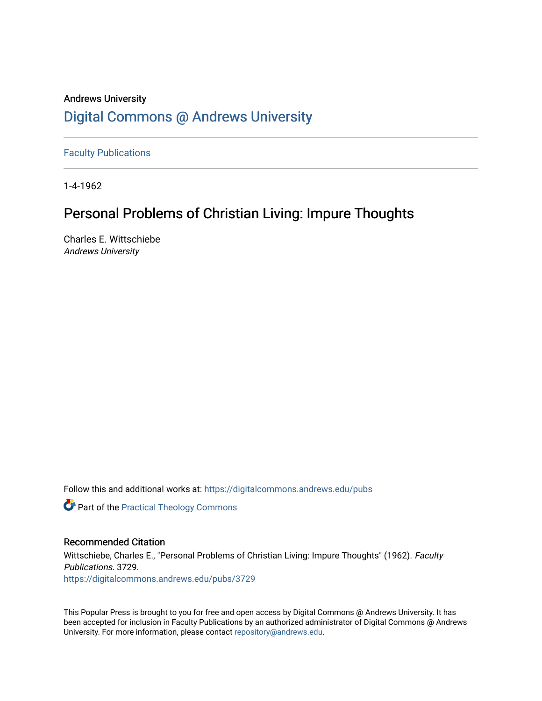# Andrews University [Digital Commons @ Andrews University](https://digitalcommons.andrews.edu/)

[Faculty Publications](https://digitalcommons.andrews.edu/pubs)

1-4-1962

# Personal Problems of Christian Living: Impure Thoughts

Charles E. Wittschiebe Andrews University

Follow this and additional works at: [https://digitalcommons.andrews.edu/pubs](https://digitalcommons.andrews.edu/pubs?utm_source=digitalcommons.andrews.edu%2Fpubs%2F3729&utm_medium=PDF&utm_campaign=PDFCoverPages) 

**Part of the [Practical Theology Commons](http://network.bepress.com/hgg/discipline/1186?utm_source=digitalcommons.andrews.edu%2Fpubs%2F3729&utm_medium=PDF&utm_campaign=PDFCoverPages)** 

## Recommended Citation

Wittschiebe, Charles E., "Personal Problems of Christian Living: Impure Thoughts" (1962). Faculty Publications. 3729. [https://digitalcommons.andrews.edu/pubs/3729](https://digitalcommons.andrews.edu/pubs/3729?utm_source=digitalcommons.andrews.edu%2Fpubs%2F3729&utm_medium=PDF&utm_campaign=PDFCoverPages) 

This Popular Press is brought to you for free and open access by Digital Commons @ Andrews University. It has been accepted for inclusion in Faculty Publications by an authorized administrator of Digital Commons @ Andrews University. For more information, please contact [repository@andrews.edu](mailto:repository@andrews.edu).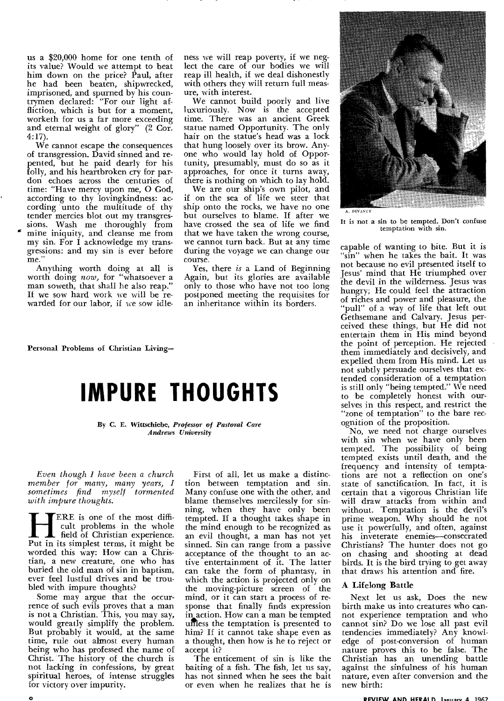us a \$20,000 home for one tenth of its value? Would we attempt to beat him down on the price? Paul, after he had been beaten, shipwrecked, imprisoned, and spurned by his countrymen declared: "For our light affliction, which is but for a moment, worketh for us a far more exceeding and eternal weight of glory" (2 Cor. 4:17).

We cannot escape the consequences of transgression. David sinned and repented, but he paid dearly for his folly, and his heartbroken cry for pardon echoes across the centuries of time: "Have mercy upon me, 0 God, according to thy lovingkindness: according unto the multitude of thy tender mercies blot out my transgressions. Wash me thoroughly from mine iniquity, and cleanse me from my sin. For I acknowledge my transgressions: and my sin is ever before me.'

Anything worth doing at all is worth doing *now,* for "whatsoever a man soweth, that shall he also reap." If we sow hard work we will be rewarded for our labor, if we sow idleness we will reap poverty, if we neglect the care of our bodies we will reap ill health, if we deal dishonestly with others they will return full measure, with interest.

We cannot build poorly and live luxuriously. Now is the accepted time. There was an ancient Greek statue named Opportunity. The only hair on the statue's head was a lock that hung loosely over its brow. Anyone who would lay hold of Opportunity, presumably, must do so as it approaches, for once it turns away, there is nothing on which to lay hold.

We are our ship's own pilot, and if on the sea of life we steer that ship onto the rocks, we have no one but ourselves to blame. If after we have crossed the sea of life we find that we have taken the wrong course, we cannot turn back. But at any time during the voyage we can change our course.

Yes, there *is* a Land of Beginning Again, but its glories are available only to those who have not too long postponed meeting the requisites for an inheritance within its borders.

Personal Problems of Christian Living—

# **IMPURE THOUGHTS**

**By C. E. Wittschiebe,** *Professor of Pastoral Care Andrews University* 

*Even though I have been a church member for many, many years, I sometimes find myself tormented with impure thoughts.* 

**HERE** is one of the most difficult problems in the whole<br>field of Christian experience.<br>Put in its simplest terms, it might be cult problems in the whole field of Christian experience. worded this way: How can a Christian, a new creature, one who has buried the old man of sin in baptism, ever feel lustful drives and be troubled with impure thoughts?

Some may argue that the occurrence of such evils proves that a man is not a Christian. This, you may say, would greatly simplify the problem. But probably it would, at the same time, rule out almost every human being who has professed the name of Christ. The history of the church is not lacking in confessions, by great spiritual heroes, of intense struggles for victory over impurity.

First of all, let us make a distinction between temptation and sin. Many confuse one with the other, and blame themselves mercilessly for sinning, when they have only been tempted. If a thought takes shape in the mind enough to be recognized as an evil thought, a man has not yet sinned. Sin can range from a passive acceptance of the thought to an active entertainment of it. The latter can take the form of phantasy, in which the action is projected only on the moving-picture screen of the mind, or it can start a process of response that finally finds expression in action. How can a man be tempted unless the temptation is presented to him? If it cannot take shape even as a thought, then how is he to reject or accept it?

The enticement of sin is like the baiting of a fish. The fish, let us say, has not sinned when he sees the bait or even when he realizes that he is



It is not a sin to be tempted. Don't confuse temptation with sin.

capable of wanting to bite. But it is "sin" when he takes the bait. It was not because no evil presented itself to Jesus' mind that He triumphed over the devil in the wilderness. Jesus was hungry; He could feel the attraction of riches and power and pleasure, the "pull" of a way of life that left out Gethsemane and Calvary. Jesus perceived these things, but He did not entertain them in His mind beyond the point of perception. He rejected them immediately and decisively, and expelled them from His mind. Let us not subtly persuade ourselves that extended consideration of a temptation is still only "being tempted." We need to be completely honest with ourselves in this respect, and restrict the "zone of temptation" to the bare recognition of the proposition.

No, we need not charge ourselves with sin when we have only been tempted. The possibility of being tempted exists until death, and the frequency and intensity of temptations are not a reflection on one's state of sanctification. In fact, it is certain that a vigorous Christian life will draw attacks from within and without. Temptation is the devil's prime weapon. Why should he not use it powerfully, and often, against his inveterate enemies—consecrated Christians? The hunter does not go on chasing and shooting at dead birds. It is the bird trying to get away that draws his attention and fire.

## A Lifelong Battle

Next let us ask, Does the new birth make us into creatures who cannot experience temptation and who cannot sin? Do we lose all past evil tendencies immediately? Any knowledge of post-conversion of human nature proves this to be false. The Christian has an unending battle against the sinfulness of his human nature, even after conversion and the new birth:

#### 0 **REVIEW AND HERALD lannary 4 1962**